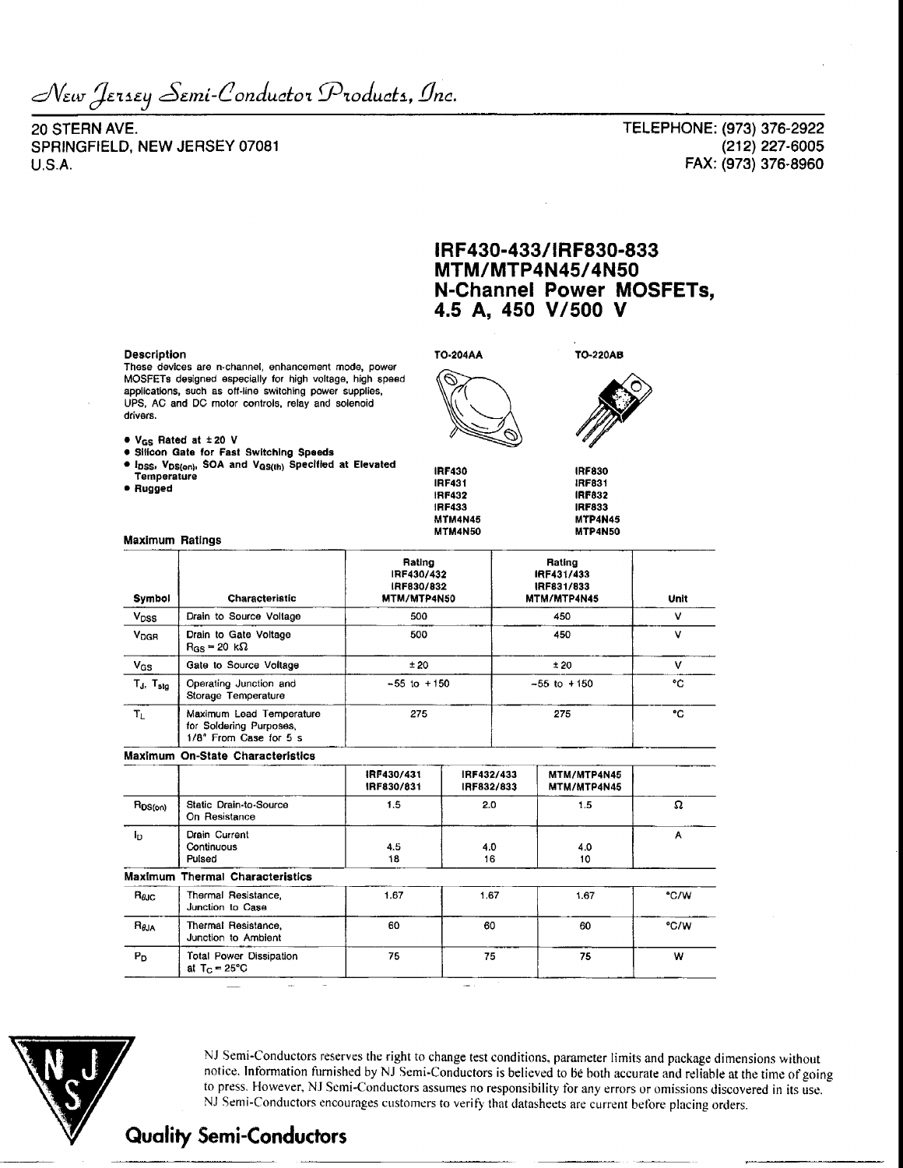Jersey *Semi-Conductor Products, Inc.* 

20 STERN AVE. SPRINGFIELD, NEW JERSEY 07081 U.S.A.

TELEPHONE: (973) 376-2922 (212)227-6005 FAX: (973) 376-8960

## **IRF430-433/IRF830-833 MTM/MTP4N45/4N50 N-Channel Power MOSFETs, 4.5 A, 450 V/500 V**

#### **Description**

These devices are n-channel, enhancement mode, power MOSFETs designed especially for high voltage, high spaed applications, such as off-line switching power supplies, UPS, AC and DC motor controls, relay and solenoid drivers.

• VGS Rated at ± 20 V

Maximum Ratings

- **Silicon Gate for Fast Switching Speeds**
- I<sub>DSS</sub>, V<sub>DS(on)</sub>, SOA and V<sub>QS(th)</sub> Specified at Elevated<br>Temperature
- **Rugged**

**IRF430 IRF431 IRF432 IRF433 MTM4N45 MTM4N50**

**TO-204AA** 

**TO-220AB**

**IRF830 IRF831 IRF832 IRF833 MTP4N4S MTP4N50**

Rating IRF431/433 IRF831/833

| Symbol | Characteristic | <b>MTM/MTP4N5</b> |
|--------|----------------|-------------------|
|        |                | IRF830/832        |
|        |                | IRF430/432        |
|        |                | Rating            |
|        |                |                   |

| Symbol                 | Characteristic                                                                | MTM/MTP4N50     | MTM/MTP4N45     | Unit |
|------------------------|-------------------------------------------------------------------------------|-----------------|-----------------|------|
| V <sub>DSS</sub>       | Drain to Source Voltage                                                       | 500             | 450             |      |
| <b>V<sub>DGR</sub></b> | Drain to Gate Voltage<br>$R_{\rm GS} = 20 \ \text{k}\Omega$                   | 500             | 450             |      |
| V <sub>GS</sub>        | Gate to Source Voltage                                                        | ±20             | ±20             |      |
| $T_J$ , $T_{sta}$      | Operating Junction and<br>Storage Temperature                                 | $-55$ to $+150$ | $-55$ to $+150$ | ۰c   |
| Tı.                    | Maximum Lead Temperature<br>for Soldering Purposes,<br>1/8" From Case for 5 s | 275             | 275             | ۰c   |

### **Maximum On-State Characteristics**

|                 |                                                  | IRF430/431<br>IRF830/831 | IRF432/433<br>IRF832/833 | MTM/MTP4N45<br>MTM/MTP4N45 |      |
|-----------------|--------------------------------------------------|--------------------------|--------------------------|----------------------------|------|
| $R_{DS(on)}$    | Static Drain-to-Source<br>On Resistance          | 1.5                      | 2.0                      | 1.5                        | Ω    |
| I <sub>D</sub>  | Drain Current<br>Continuous<br>Pulsed            | 4.5<br>18                | 4.0<br>16                | 4.0<br>10                  | Α    |
|                 | <b>Maximum Thermal Characteristics</b>           |                          |                          |                            |      |
| $R_{\theta,IC}$ | Thermal Resistance.<br>Junction to Case          | 1.67                     | 1.67                     | 1.67                       | °C/W |
| $R_{\theta$ JA  | Thermal Resistance,<br>Junction to Ambient       | 60                       | 60                       | 60                         | °C/W |
| P <sub>D</sub>  | Total Power Dissipation<br>at $T_{\rm G}$ = 25°C | 75                       | 75                       | 75                         | w    |



NJ Semi-Conductors reserves the right to change test conditions, parameter limits and package dimensions without notice. Information furnished by NJ Semi-Conductors is believed to be both accurate and reliable at the time of going to press, However, NJ Semi-Conductors assumes no responsibility for any errors or omissions discovered in its use. NJ Semi-Conductors encourages customers to verify that datasheets are current before placing orders.

# **Quality Semi-Conductors**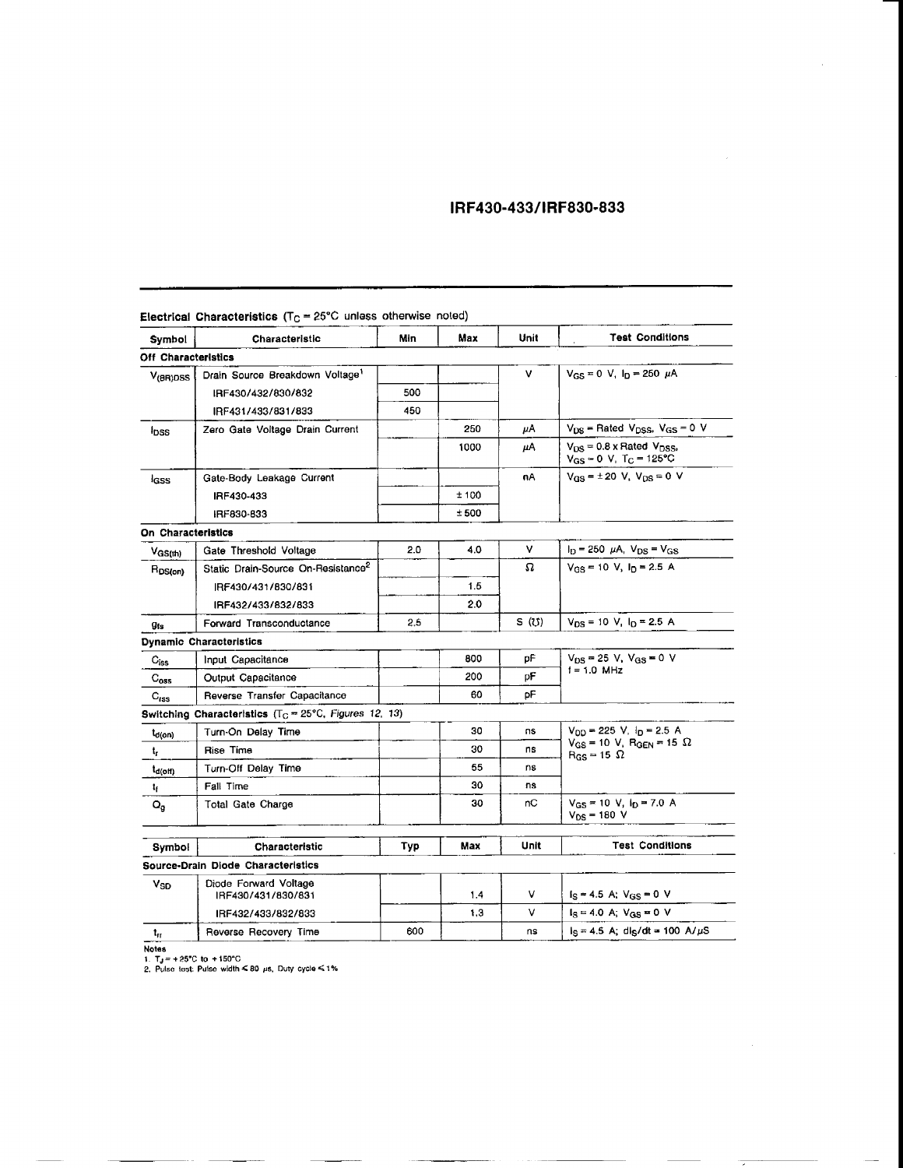## **IRF430-433/IRF830-833**

| <b>Symbol</b>               | Characteristic                                                    | Min | Max   | Unit  | <b>Test Conditions</b>                                                       |
|-----------------------------|-------------------------------------------------------------------|-----|-------|-------|------------------------------------------------------------------------------|
| Off Characteristics         |                                                                   |     |       |       |                                                                              |
| $V_{f(R)DSS}$               | Drain Source Breakdown Voltage <sup>1</sup>                       |     |       | ۷     | $V_{GS} = 0$ V, $I_D = 250$ $\mu$ A                                          |
|                             | IRF430/432/830/832                                                | 500 |       |       |                                                                              |
|                             | IRF431/433/831/833                                                | 450 |       |       |                                                                              |
| <sup>i</sup> pss            | Zero Gate Voltage Drain Current                                   |     | 250   | μA    | $V_{DS}$ = Rated $V_{DSS}$ , $V_{GS}$ = 0 V                                  |
|                             |                                                                   |     | 1000  | μA    | $V_{DS}$ = 0.8 x Rated $V_{DSS}$ ,<br>$V_{GS} = 0$ V, T <sub>C</sub> = 125°C |
| lass                        | Gate-Body Leakage Current                                         |     |       | nΑ    | $V_{GS} = \pm 20$ V, $V_{DS} = 0$ V                                          |
|                             | IRF430-433                                                        |     | ± 100 |       |                                                                              |
|                             | IRF830-833                                                        |     | ±500  |       |                                                                              |
| On Characteristics          |                                                                   |     |       |       |                                                                              |
| $V_{GS(th)}$                | Gate Threshold Voltage                                            | 2.0 | 4.0   | v     | $I_D = 250 \mu A$ , $V_{DS} = V_{GS}$                                        |
| R <sub>DS(on)</sub>         | Static Drain-Source On-Resistance <sup>2</sup>                    |     |       | Ω     | $V_{GS}$ = 10 V, $I_D$ = 2.5 A                                               |
|                             | IRF430/431/830/831                                                |     | 1.5   |       |                                                                              |
|                             | IRF432/433/832/833                                                |     | 2.0   |       |                                                                              |
| <b>Ots</b>                  | Forward Transconductance                                          | 2.5 |       | S (U) | $V_{DS}$ = 10 V, $I_D$ = 2.5 A                                               |
|                             | Dynamic Characteristics                                           |     |       |       |                                                                              |
| $\mathsf{C}_{\mathsf{iss}}$ | Input Capacitance                                                 |     | 800   | рF    | $V_{DS}$ = 25 V, $V_{GS}$ = 0 V                                              |
| $\mathrm{C}_{\mathrm{oss}}$ | Output Capacitance                                                |     | 200   | рF    | $i = 1.0$ MHz                                                                |
| $C_{\text{rss}}$            | Reverse Transfer Capacitance                                      |     | 60    | рF    |                                                                              |
|                             | Switching Characteristics (T <sub>C</sub> = 25°C, Figures 12, 13) |     |       |       |                                                                              |
| t <sub>d(on)</sub>          | Turn-On Delay Time                                                |     | 30    | ns    | $V_{DD}$ = 225 V, $I_D$ = 2.5 A                                              |
| t,                          | Rise Time                                                         |     | 30    | ns    | $V_{GS}$ = 10 V, R <sub>GEN</sub> = 15 $\Omega$<br>$R_{GS} = 15 \Omega$      |
| t <sub>a(off)</sub>         | Turn-Off Delay Time                                               |     | 55    | ns    |                                                                              |
| t,                          | Fall Time                                                         |     | 30    | ns    |                                                                              |
| $\mathsf{Q}_{\mathsf{g}}$   | Total Gate Charge                                                 |     | 30    | nС    | $V_{GS}$ = 10 V, $I_D$ = 7.0 A<br>$V_{DS}$ = 180 V                           |
| Symbol                      | Characteristic                                                    | Typ | Max   | Unit  | <b>Test Conditions</b>                                                       |
|                             | Source-Drain Diode Characteristics                                |     |       |       |                                                                              |
| Vso                         | Diode Forward Voltage<br>IRF430/431/830/831                       |     | 1.4   | v     | $I_S = 4.5$ A; $V_{GS} = 0$ V                                                |
|                             | IRF432/433/832/833                                                |     | 1.3   | v     | $I_S = 4.0$ A; $V_{GS} = 0$ V                                                |
| $t_{\rm ff}$                | Reverse Recovery Time                                             | 600 |       | ns    | $I_S = 4.5$ A; dls/dt = 100 A/ $\mu$ S                                       |
|                             |                                                                   |     |       |       |                                                                              |

 $\epsilon$ **Electrical Characteristics** (T $\epsilon$  = 25°C unless otherwise noted)

<mark>Notes</mark><br>1. T<sub>J</sub> = +25°C to +150°C<br>2. Pulso last: Pulse width ≤ 80 μs. Duty cycle ≤ 1 %